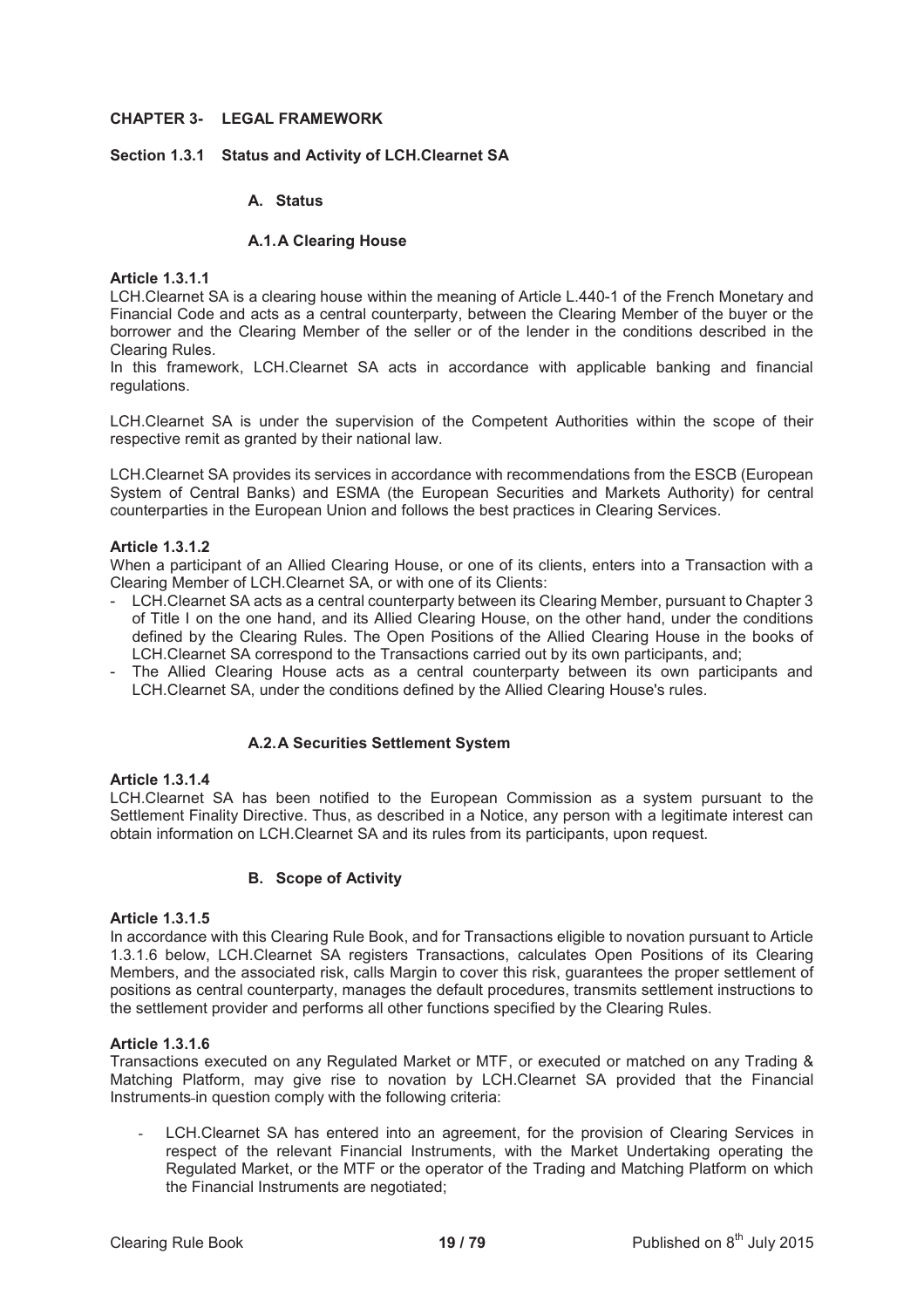# **CHAPTER 3- LEGAL FRAMEWORK**

# **Section 1.3.1 Status and Activity of LCH.Clearnet SA**

# **A. Status**

## **A.1. A Clearing House**

## **Article 1.3.1.1**

LCH.Clearnet SA is a clearing house within the meaning of Article L.440-1 of the French Monetary and Financial Code and acts as a central counterparty, between the Clearing Member of the buyer or the borrower and the Clearing Member of the seller or of the lender in the conditions described in the Clearing Rules.

In this framework, LCH.Clearnet SA acts in accordance with applicable banking and financial regulations.

LCH.Clearnet SA is under the supervision of the Competent Authorities within the scope of their respective remit as granted by their national law.

LCH.Clearnet SA provides its services in accordance with recommendations from the ESCB (European System of Central Banks) and ESMA (the European Securities and Markets Authority) for central counterparties in the European Union and follows the best practices in Clearing Services.

## **Article 1.3.1.2**

When a participant of an Allied Clearing House, or one of its clients, enters into a Transaction with a Clearing Member of LCH.Clearnet SA, or with one of its Clients:

- LCH.Clearnet SA acts as a central counterparty between its Clearing Member, pursuant to Chapter 3 of Title I on the one hand, and its Allied Clearing House, on the other hand, under the conditions defined by the Clearing Rules. The Open Positions of the Allied Clearing House in the books of LCH.Clearnet SA correspond to the Transactions carried out by its own participants, and;
- The Allied Clearing House acts as a central counterparty between its own participants and LCH.Clearnet SA, under the conditions defined by the Allied Clearing House's rules.

# **A.2. A Securities Settlement System**

## **Article 1.3.1.4**

LCH.Clearnet SA has been notified to the European Commission as a system pursuant to the Settlement Finality Directive. Thus, as described in a Notice, any person with a legitimate interest can obtain information on LCH.Clearnet SA and its rules from its participants, upon request.

# **B. Scope of Activity**

## **Article 1.3.1.5**

In accordance with this Clearing Rule Book, and for Transactions eligible to novation pursuant to Article 1.3.1.6 below, LCH.Clearnet SA registers Transactions, calculates Open Positions of its Clearing Members, and the associated risk, calls Margin to cover this risk, guarantees the proper settlement of positions as central counterparty, manages the default procedures, transmits settlement instructions to the settlement provider and performs all other functions specified by the Clearing Rules.

# **Article 1.3.1.6**

Transactions executed on any Regulated Market or MTF, or executed or matched on any Trading & Matching Platform, may give rise to novation by LCH.Clearnet SA provided that the Financial Instruments in question comply with the following criteria:

LCH.Clearnet SA has entered into an agreement, for the provision of Clearing Services in respect of the relevant Financial Instruments, with the Market Undertaking operating the Regulated Market, or the MTF or the operator of the Trading and Matching Platform on which the Financial Instruments are negotiated;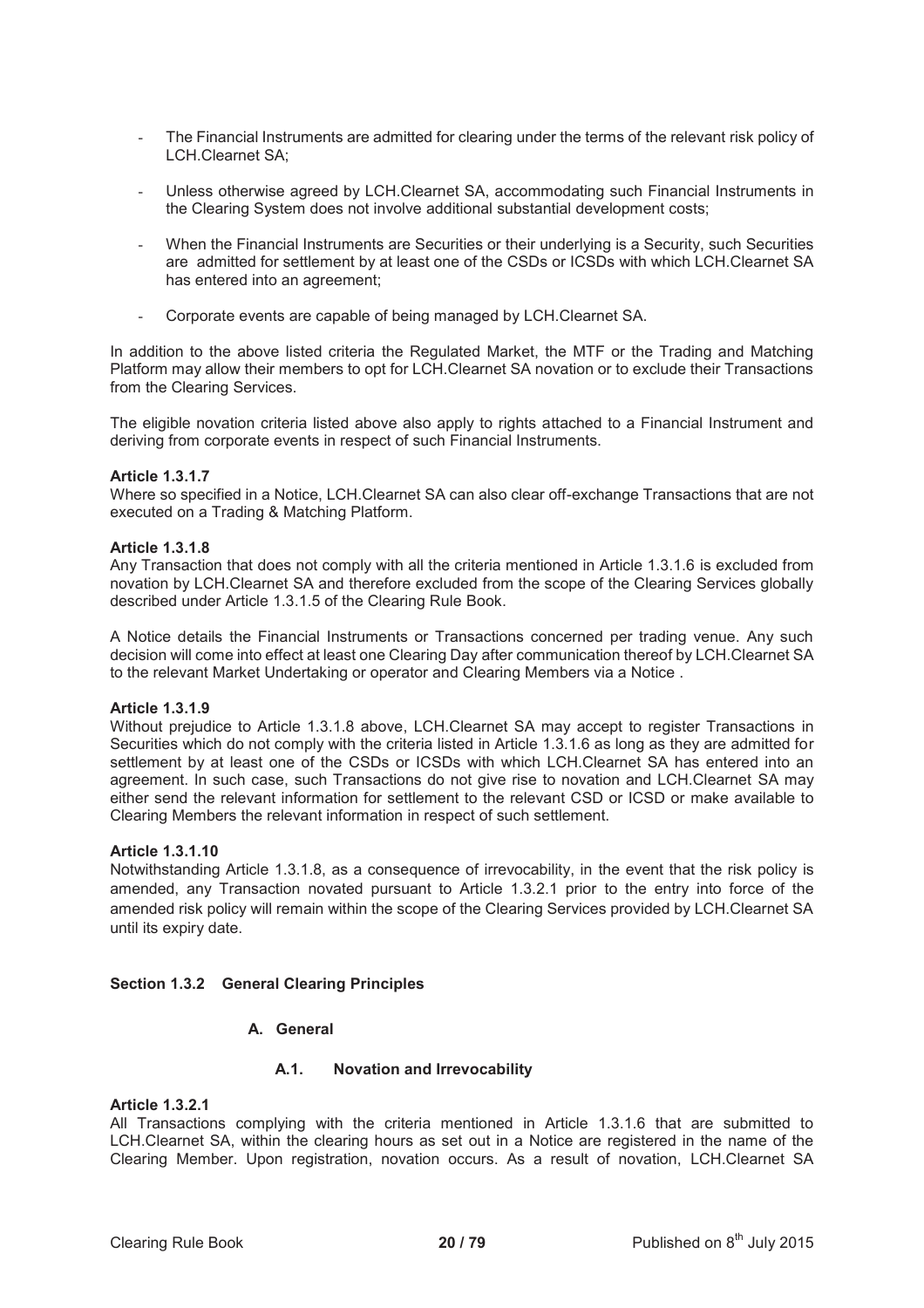- The Financial Instruments are admitted for clearing under the terms of the relevant risk policy of LCH.Clearnet SA;
- Unless otherwise agreed by LCH.Clearnet SA, accommodating such Financial Instruments in the Clearing System does not involve additional substantial development costs;
- When the Financial Instruments are Securities or their underlying is a Security, such Securities are admitted for settlement by at least one of the CSDs or ICSDs with which LCH.Clearnet SA has entered into an agreement;
- Corporate events are capable of being managed by LCH.Clearnet SA.

In addition to the above listed criteria the Regulated Market, the MTF or the Trading and Matching Platform may allow their members to opt for LCH.Clearnet SA novation or to exclude their Transactions from the Clearing Services.

The eligible novation criteria listed above also apply to rights attached to a Financial Instrument and deriving from corporate events in respect of such Financial Instruments.

# **Article 1.3.1.7**

Where so specified in a Notice, LCH.Clearnet SA can also clear off-exchange Transactions that are not executed on a Trading & Matching Platform.

## **Article 1.3.1.8**

Any Transaction that does not comply with all the criteria mentioned in Article 1.3.1.6 is excluded from novation by LCH.Clearnet SA and therefore excluded from the scope of the Clearing Services globally described under Article 1.3.1.5 of the Clearing Rule Book.

A Notice details the Financial Instruments or Transactions concerned per trading venue. Any such decision will come into effect at least one Clearing Day after communication thereof by LCH.Clearnet SA to the relevant Market Undertaking or operator and Clearing Members via a Notice .

# **Article 1.3.1.9**

Without prejudice to Article 1.3.1.8 above, LCH.Clearnet SA may accept to register Transactions in Securities which do not comply with the criteria listed in Article 1.3.1.6 as long as they are admitted for settlement by at least one of the CSDs or ICSDs with which LCH.Clearnet SA has entered into an agreement. In such case, such Transactions do not give rise to novation and LCH.Clearnet SA may either send the relevant information for settlement to the relevant CSD or ICSD or make available to Clearing Members the relevant information in respect of such settlement.

## **Article 1.3.1.10**

Notwithstanding Article 1.3.1.8, as a consequence of irrevocability, in the event that the risk policy is amended, any Transaction novated pursuant to Article 1.3.2.1 prior to the entry into force of the amended risk policy will remain within the scope of the Clearing Services provided by LCH.Clearnet SA until its expiry date.

## **Section 1.3.2 General Clearing Principles**

# **A. General**

# **A.1. Novation and Irrevocability**

# **Article 1.3.2.1**

All Transactions complying with the criteria mentioned in Article 1.3.1.6 that are submitted to LCH.Clearnet SA, within the clearing hours as set out in a Notice are registered in the name of the Clearing Member. Upon registration, novation occurs. As a result of novation, LCH.Clearnet SA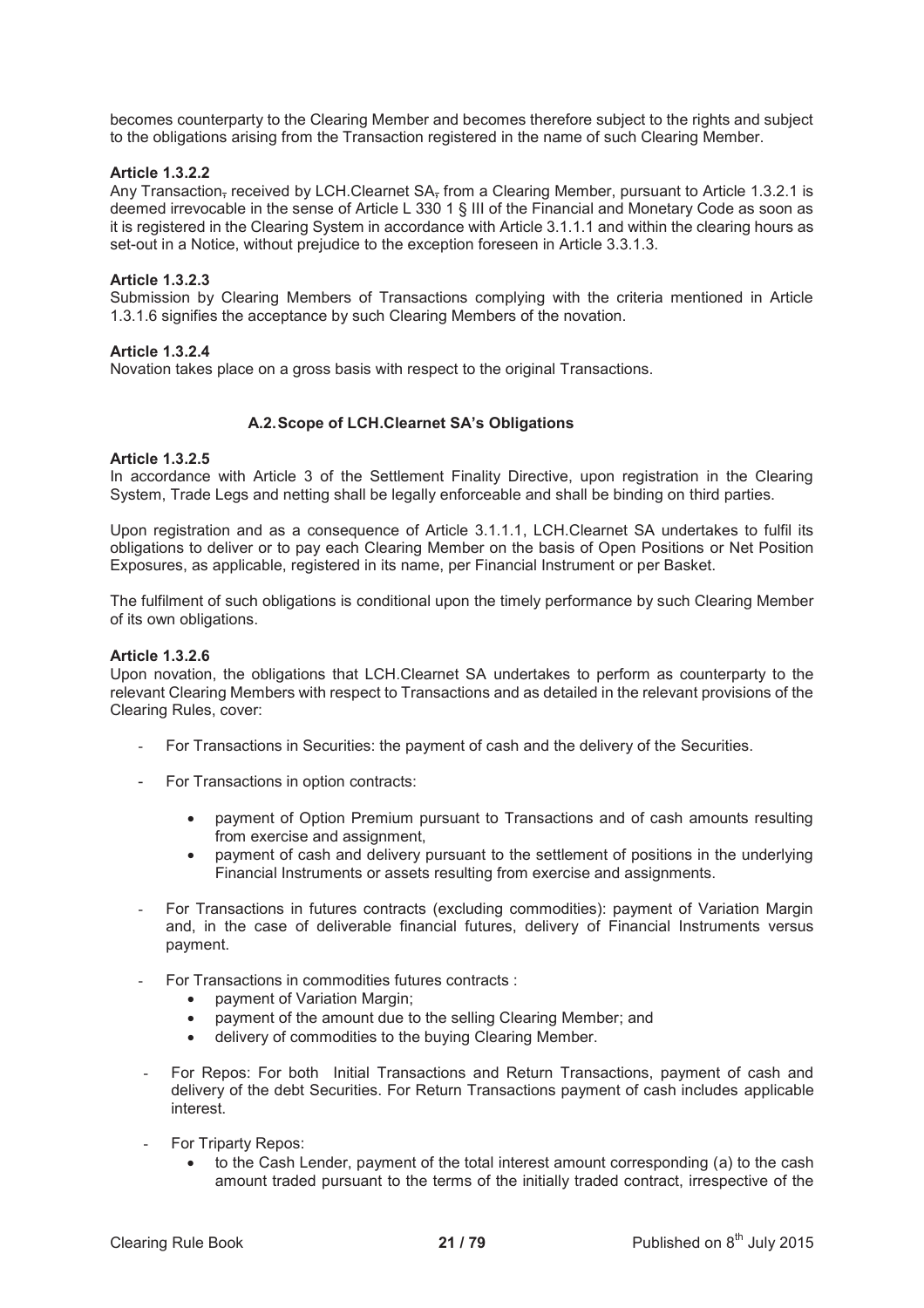becomes counterparty to the Clearing Member and becomes therefore subject to the rights and subject to the obligations arising from the Transaction registered in the name of such Clearing Member.

# **Article 1.3.2.2**

Any Transaction, received by LCH.Clearnet SA, from a Clearing Member, pursuant to Article 1.3.2.1 is deemed irrevocable in the sense of Article L 330 1 § III of the Financial and Monetary Code as soon as it is registered in the Clearing System in accordance with Article 3.1.1.1 and within the clearing hours as set-out in a Notice, without prejudice to the exception foreseen in Article 3.3.1.3.

## **Article 1.3.2.3**

Submission by Clearing Members of Transactions complying with the criteria mentioned in Article 1.3.1.6 signifies the acceptance by such Clearing Members of the novation.

# **Article 1.3.2.4**

Novation takes place on a gross basis with respect to the original Transactions.

# **A.2. Scope of LCH.Clearnet SA's Obligations**

## **Article 1.3.2.5**

In accordance with Article 3 of the Settlement Finality Directive, upon registration in the Clearing System, Trade Legs and netting shall be legally enforceable and shall be binding on third parties.

Upon registration and as a consequence of Article 3.1.1.1, LCH.Clearnet SA undertakes to fulfil its obligations to deliver or to pay each Clearing Member on the basis of Open Positions or Net Position Exposures, as applicable, registered in its name, per Financial Instrument or per Basket.

The fulfilment of such obligations is conditional upon the timely performance by such Clearing Member of its own obligations.

## **Article 1.3.2.6**

Upon novation, the obligations that LCH.Clearnet SA undertakes to perform as counterparty to the relevant Clearing Members with respect to Transactions and as detailed in the relevant provisions of the Clearing Rules, cover:

- For Transactions in Securities: the payment of cash and the delivery of the Securities.
- For Transactions in option contracts:
	- · payment of Option Premium pursuant to Transactions and of cash amounts resulting from exercise and assignment,
	- · payment of cash and delivery pursuant to the settlement of positions in the underlying Financial Instruments or assets resulting from exercise and assignments.
- For Transactions in futures contracts (excluding commodities): payment of Variation Margin and, in the case of deliverable financial futures, delivery of Financial Instruments versus payment.
- For Transactions in commodities futures contracts :
	- · payment of Variation Margin;
	- payment of the amount due to the selling Clearing Member; and
	- delivery of commodities to the buying Clearing Member.
- For Repos: For both Initial Transactions and Return Transactions, payment of cash and delivery of the debt Securities. For Return Transactions payment of cash includes applicable interest.
- For Triparty Repos:
	- to the Cash Lender, payment of the total interest amount corresponding (a) to the cash amount traded pursuant to the terms of the initially traded contract, irrespective of the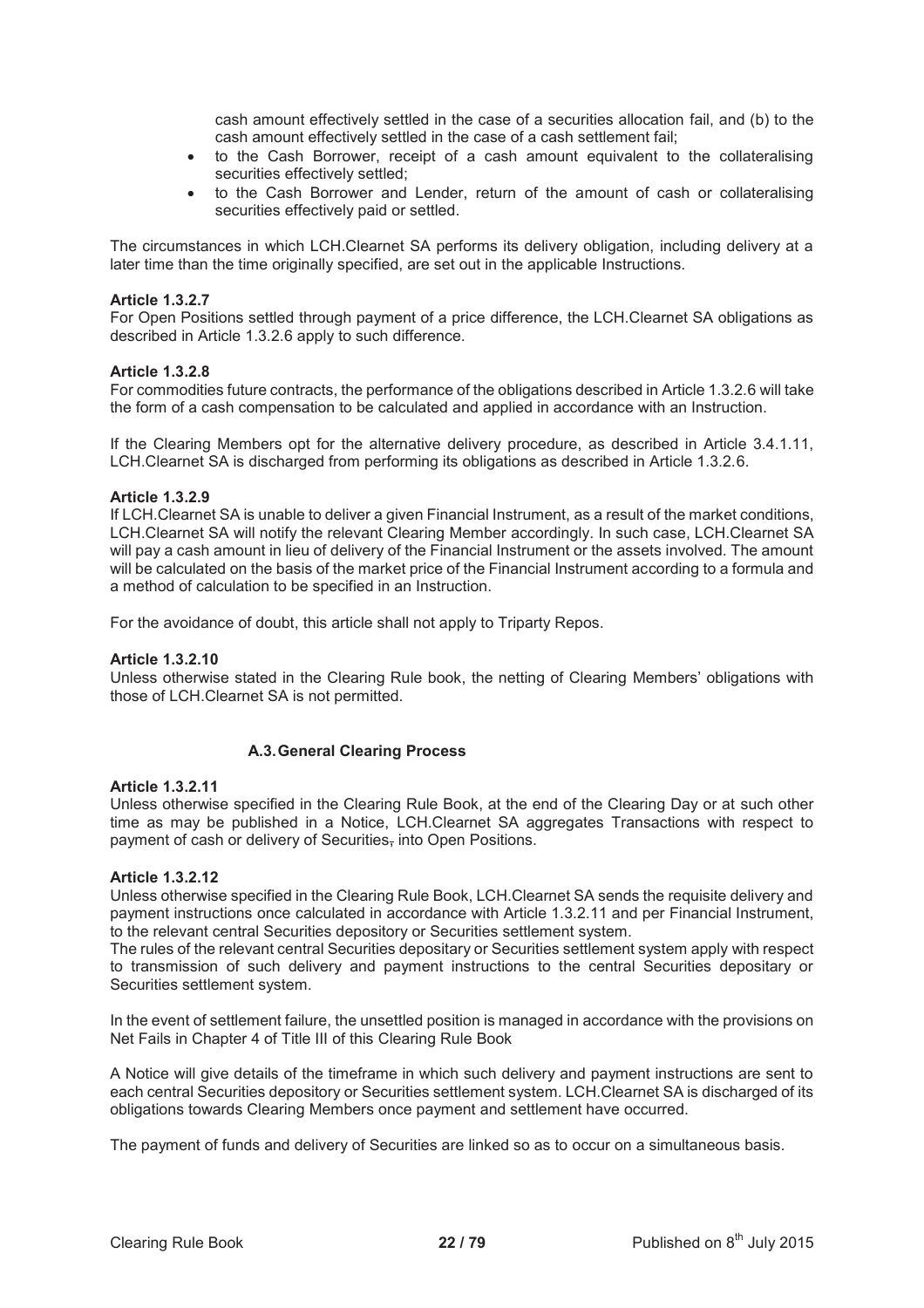cash amount effectively settled in the case of a securities allocation fail, and (b) to the cash amount effectively settled in the case of a cash settlement fail;

- · to the Cash Borrower, receipt of a cash amount equivalent to the collateralising securities effectively settled;
- · to the Cash Borrower and Lender, return of the amount of cash or collateralising securities effectively paid or settled.

The circumstances in which LCH.Clearnet SA performs its delivery obligation, including delivery at a later time than the time originally specified, are set out in the applicable Instructions.

# **Article 1.3.2.7**

For Open Positions settled through payment of a price difference, the LCH.Clearnet SA obligations as described in Article 1.3.2.6 apply to such difference.

# **Article 1.3.2.8**

For commodities future contracts, the performance of the obligations described in Article 1.3.2.6 will take the form of a cash compensation to be calculated and applied in accordance with an Instruction.

If the Clearing Members opt for the alternative delivery procedure, as described in Article 3.4.1.11, LCH.Clearnet SA is discharged from performing its obligations as described in Article 1.3.2.6.

## **Article 1.3.2.9**

If LCH.Clearnet SA is unable to deliver a given Financial Instrument, as a result of the market conditions, LCH.Clearnet SA will notify the relevant Clearing Member accordingly. In such case, LCH.Clearnet SA will pay a cash amount in lieu of delivery of the Financial Instrument or the assets involved. The amount will be calculated on the basis of the market price of the Financial Instrument according to a formula and a method of calculation to be specified in an Instruction.

For the avoidance of doubt, this article shall not apply to Triparty Repos.

## **Article 1.3.2.10**

Unless otherwise stated in the Clearing Rule book, the netting of Clearing Members' obligations with those of LCH.Clearnet SA is not permitted.

# **A.3. General Clearing Process**

## **Article 1.3.2.11**

Unless otherwise specified in the Clearing Rule Book, at the end of the Clearing Day or at such other time as may be published in a Notice, LCH.Clearnet SA aggregates Transactions with respect to payment of cash or delivery of Securities, into Open Positions.

## **Article 1.3.2.12**

Unless otherwise specified in the Clearing Rule Book, LCH.Clearnet SA sends the requisite delivery and payment instructions once calculated in accordance with Article 1.3.2.11 and per Financial Instrument, to the relevant central Securities depository or Securities settlement system.

The rules of the relevant central Securities depositary or Securities settlement system apply with respect to transmission of such delivery and payment instructions to the central Securities depositary or Securities settlement system.

In the event of settlement failure, the unsettled position is managed in accordance with the provisions on Net Fails in Chapter 4 of Title III of this Clearing Rule Book

A Notice will give details of the timeframe in which such delivery and payment instructions are sent to each central Securities depository or Securities settlement system. LCH.Clearnet SA is discharged of its obligations towards Clearing Members once payment and settlement have occurred.

The payment of funds and delivery of Securities are linked so as to occur on a simultaneous basis.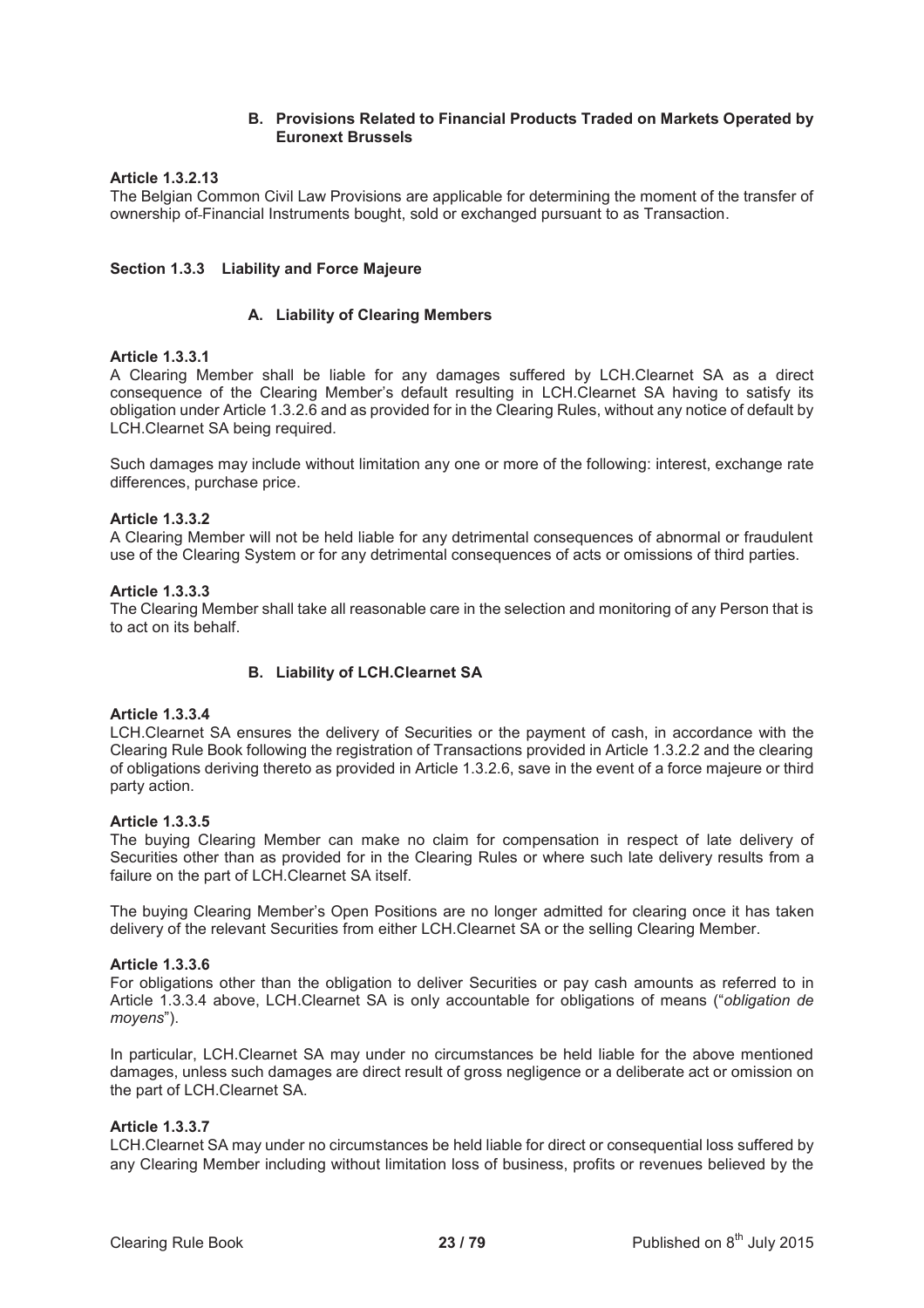# **B. Provisions Related to Financial Products Traded on Markets Operated by Euronext Brussels**

# **Article 1.3.2.13**

The Belgian Common Civil Law Provisions are applicable for determining the moment of the transfer of ownership of Financial Instruments bought, sold or exchanged pursuant to as Transaction.

# **Section 1.3.3 Liability and Force Majeure**

# **A. Liability of Clearing Members**

# **Article 1.3.3.1**

A Clearing Member shall be liable for any damages suffered by LCH.Clearnet SA as a direct consequence of the Clearing Member's default resulting in LCH.Clearnet SA having to satisfy its obligation under Article 1.3.2.6 and as provided for in the Clearing Rules, without any notice of default by LCH.Clearnet SA being required.

Such damages may include without limitation any one or more of the following: interest, exchange rate differences, purchase price.

# **Article 1.3.3.2**

A Clearing Member will not be held liable for any detrimental consequences of abnormal or fraudulent use of the Clearing System or for any detrimental consequences of acts or omissions of third parties.

## **Article 1.3.3.3**

The Clearing Member shall take all reasonable care in the selection and monitoring of any Person that is to act on its behalf.

# **B. Liability of LCH.Clearnet SA**

## **Article 1.3.3.4**

LCH.Clearnet SA ensures the delivery of Securities or the payment of cash, in accordance with the Clearing Rule Book following the registration of Transactions provided in Article 1.3.2.2 and the clearing of obligations deriving thereto as provided in Article 1.3.2.6, save in the event of a force majeure or third party action.

## **Article 1.3.3.5**

The buying Clearing Member can make no claim for compensation in respect of late delivery of Securities other than as provided for in the Clearing Rules or where such late delivery results from a failure on the part of LCH.Clearnet SA itself.

The buying Clearing Member's Open Positions are no longer admitted for clearing once it has taken delivery of the relevant Securities from either LCH.Clearnet SA or the selling Clearing Member.

## **Article 1.3.3.6**

For obligations other than the obligation to deliver Securities or pay cash amounts as referred to in Article 1.3.3.4 above, LCH.Clearnet SA is only accountable for obligations of means ("*obligation de moyens*").

In particular, LCH.Clearnet SA may under no circumstances be held liable for the above mentioned damages, unless such damages are direct result of gross negligence or a deliberate act or omission on the part of LCH.Clearnet SA.

## **Article 1.3.3.7**

LCH.Clearnet SA may under no circumstances be held liable for direct or consequential loss suffered by any Clearing Member including without limitation loss of business, profits or revenues believed by the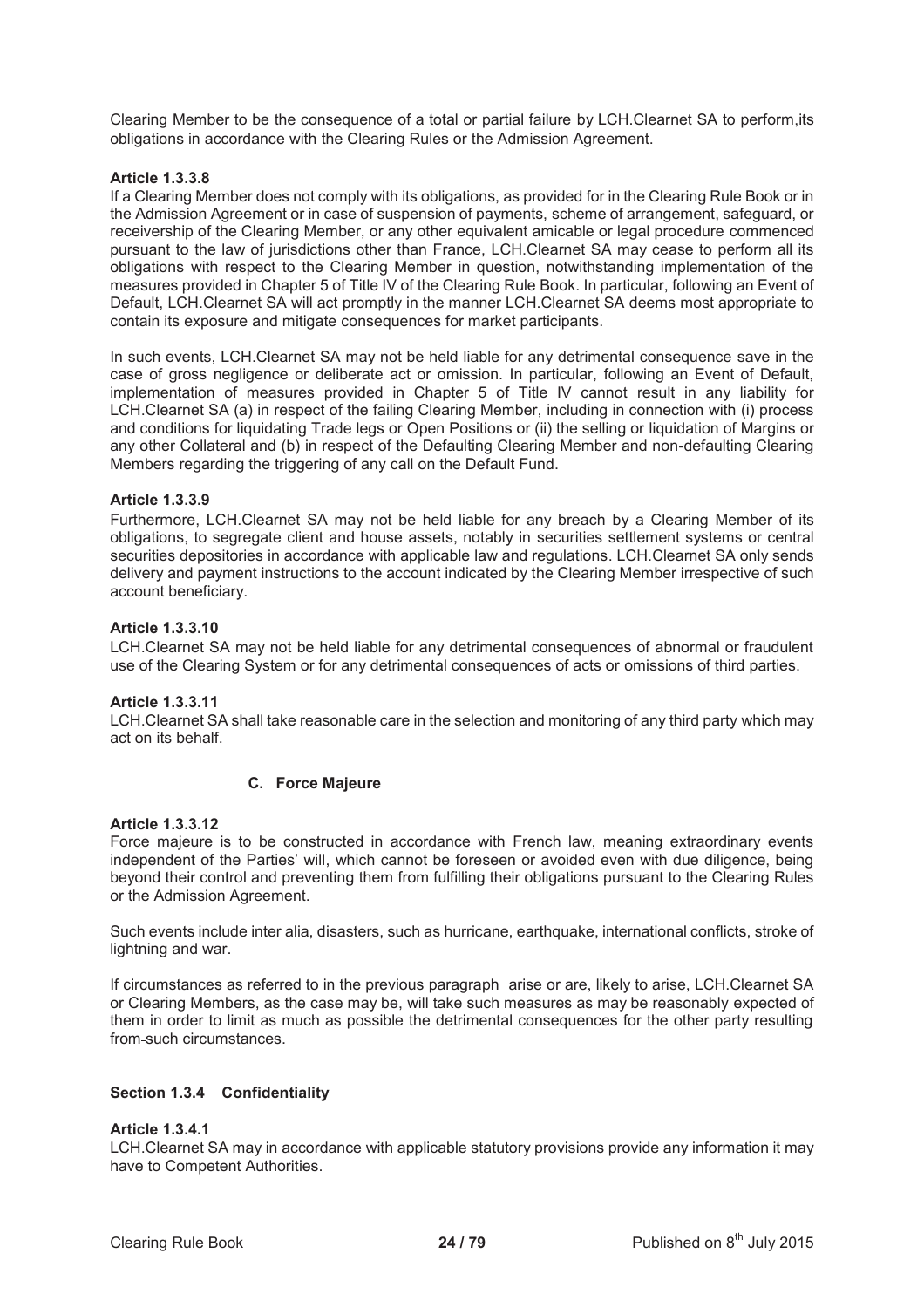Clearing Member to be the consequence of a total or partial failure by LCH.Clearnet SA to perform,its obligations in accordance with the Clearing Rules or the Admission Agreement.

# **Article 1.3.3.8**

If a Clearing Member does not comply with its obligations, as provided for in the Clearing Rule Book or in the Admission Agreement or in case of suspension of payments, scheme of arrangement, safeguard, or receivership of the Clearing Member, or any other equivalent amicable or legal procedure commenced pursuant to the law of jurisdictions other than France, LCH.Clearnet SA may cease to perform all its obligations with respect to the Clearing Member in question, notwithstanding implementation of the measures provided in Chapter 5 of Title IV of the Clearing Rule Book. In particular, following an Event of Default, LCH.Clearnet SA will act promptly in the manner LCH.Clearnet SA deems most appropriate to contain its exposure and mitigate consequences for market participants.

In such events, LCH.Clearnet SA may not be held liable for any detrimental consequence save in the case of gross negligence or deliberate act or omission. In particular, following an Event of Default, implementation of measures provided in Chapter 5 of Title IV cannot result in any liability for LCH.Clearnet SA (a) in respect of the failing Clearing Member, including in connection with (i) process and conditions for liquidating Trade legs or Open Positions or (ii) the selling or liquidation of Margins or any other Collateral and (b) in respect of the Defaulting Clearing Member and non-defaulting Clearing Members regarding the triggering of any call on the Default Fund.

## **Article 1.3.3.9**

Furthermore, LCH.Clearnet SA may not be held liable for any breach by a Clearing Member of its obligations, to segregate client and house assets, notably in securities settlement systems or central securities depositories in accordance with applicable law and regulations. LCH.Clearnet SA only sends delivery and payment instructions to the account indicated by the Clearing Member irrespective of such account beneficiary.

## **Article 1.3.3.10**

LCH.Clearnet SA may not be held liable for any detrimental consequences of abnormal or fraudulent use of the Clearing System or for any detrimental consequences of acts or omissions of third parties.

## **Article 1.3.3.11**

LCH.Clearnet SA shall take reasonable care in the selection and monitoring of any third party which may act on its behalf.

# **C. Force Majeure**

## **Article 1.3.3.12**

Force majeure is to be constructed in accordance with French law, meaning extraordinary events independent of the Parties' will, which cannot be foreseen or avoided even with due diligence, being beyond their control and preventing them from fulfilling their obligations pursuant to the Clearing Rules or the Admission Agreement.

Such events include inter alia, disasters, such as hurricane, earthquake, international conflicts, stroke of lightning and war.

If circumstances as referred to in the previous paragraph arise or are, likely to arise, LCH.Clearnet SA or Clearing Members, as the case may be, will take such measures as may be reasonably expected of them in order to limit as much as possible the detrimental consequences for the other party resulting from such circumstances.

## **Section 1.3.4 Confidentiality**

## **Article 1.3.4.1**

LCH.Clearnet SA may in accordance with applicable statutory provisions provide any information it may have to Competent Authorities.